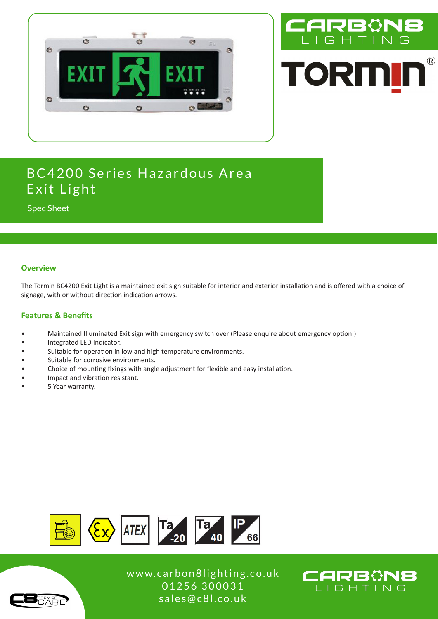



# BC4200 Series Hazardous Area Exit Light

Spec Sheet

### **Overview**

The Tormin BC4200 Exit Light is a maintained exit sign suitable for interior and exterior installation and is offered with a choice of signage, with or without direction indication arrows.

### **Features & Benefits**

- Maintained Illuminated Exit sign with emergency switch over (Please enquire about emergency option.)
- Integrated LED Indicator.
- Suitable for operation in low and high temperature environments.
- Suitable for corrosive environments.
- Choice of mounting fixings with angle adjustment for flexible and easy installation.
- Impact and vibration resistant.
- 5 Year warranty.



www.carbon8lighting.co.uk 01256 300031 sales@c8l.co.uk